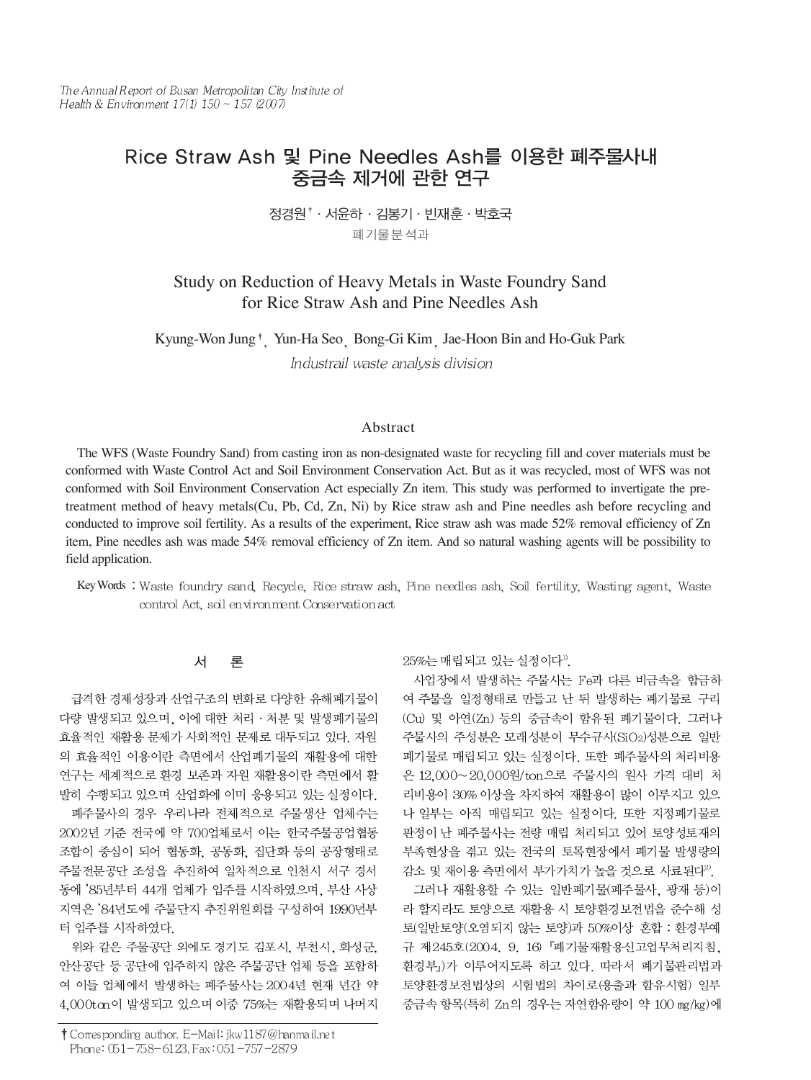# Rice Straw Ash 및 Pine Needles Ash를 이용한 폐주물사내 중금속 제거에 관한 연구

정경원<sup>†</sup> · 서윤하 · 김봉기 · 빈재훈 · 박호국 폐기물부석과

# Study on Reduction of Heavy Metals in Waste Foundry Sand for Rice Straw Ash and Pine Needles Ash

Kyung-Won Jung <sup>†</sup>, Yun-Ha Seo, Bong-Gi Kim, Jae-Hoon Bin and Ho-Guk Park Industrail waste analysis division

#### Abstract

The WFS (Waste Foundry Sand) from casting iron as non-designated waste for recycling fill and cover materials must be conformed with Waste Control Act and Soil Environment Conservation Act. But as it was recycled, most of WFS was not conformed with Soil Environment Conservation Act especially Zn item. This study was performed to invertigate the pretreatment method of heavy metals(Cu, Pb, Cd, Zn, Ni) by Rice straw ash and Pine needles ash before recycling and conducted to improve soil fertility. As a results of the experiment, Rice straw ash was made 52% removal efficiency of Zn item, Pine needles ash was made 54% removal efficiency of Zn item. And so natural washing agents will be possibility to field application.

Key Words : Waste foundry sand, Recycle, Rice straw ash, Pine needles ash, Soil fertility, Wasting agent, Waste control Act, soil environment Conservation act

#### 서 론

급격한 경제성장과 산업구조의 변화로 다양한 유해폐기물이 다량 발생되고 있으며, 이에 대한 처리 · 처분 및 발생폐기물의 효율적인 재활용 문제가 사회적인 문제로 대두되고 있다. 자원 의 효율적인 이용이란 측면에서 산업폐기물의 재활용에 대한 연구는 세계적으로 환경 보존과 자원 재활용이란 측면에서 활 발히 수행되고 있으며 산업화에 이미 응용되고 있는 실정이다.

폐주물사의 경우 우리나라 전체적으로 주물생산 업체수는 2002년 기준 전국에 약 700업체로서 이는 한국주물공업협동 조합이 중심이 되어 협동화, 공동화, 집단화 등의 공장형태로 주물전문공단 조성을 추진하여 일차적으로 인천시 서구 경서 동에 '85년부터 44개 업체가 입주를 시작하였으며, 부산 사상 지역은 '84년도에 주물단지 추진위원회를 구성하여 1990년부 터 입주를 시작하였다.

위와 같은 주물공단 외에도 경기도 김포시, 부천시, 화성군, 안산공단 등 공단에 입주하지 않은 주물공단 업체 등을 포함하 여 이들 업체에서 발생하는 폐주물사는 2004년 현재 년간 약 4,000ton이 발생되고 있으며 이중 75%는 재활용되며 나머지

### 25%는 매립되고 있는 실정이다".

사업장에서 발생하는 주물사는 Fe과 다른 비금속을 합금하 여 주물을 일정형태로 만들고 난 뒤 발생하는 폐기물로 구리 (Cu) 및 아연(Zn) 등의 중금속이 함유된 폐기물이다. 그러나 주물사의 주성분은 모래성분이 무수규사(SiO2)성분으로 일반 폐기물로 매립되고 있는 실정이다. 또한 폐주물사의 처리비용 은 12,000~20,000원/ton으로 주물사의 원사 가격 대비 처 리비용이 30% 이상을 차지하여 재활용이 많이 이루지고 있으 나 일부는 아직 매립되고 있는 실정이다. 또한 지정폐기물로 판정이 난 폐주물사는 전량 매립 처리되고 있어 토양성토재의 부족현상을 겪고 있는 전국의 토목현장에서 폐기물 발생량의 감소 및 재이용 측면에서 부가가치가 높을 것으로 사료된다<sup>2</sup>.

그러나 재활용할 수 있는 일반폐기물(폐주물사, 광재 등)이 라 할지라도 토양으로 재활용 시 토양환경보전법을 준수해 성 토(일반토양(오염되지 않는 토양)과 50%이상 혼합: 환경부예 규 제245호(2004. 9. 16) 『폐기물재활용신고업무처리지침, 환경부』)가 이루어지도록 하고 있다. 따라서 폐기물관리법과 토양환경보전법상의 시험법의 차이로(용출과 함유시험) 일부 중금속 항목(특히 Zn의 경우는 자연함유량이 약 100 mg/kg)에

<sup>†</sup> Corresponding author. E-Mail: jkw1187@hanmail.net Phone: 051-758-6123, Fax: 051-757-2879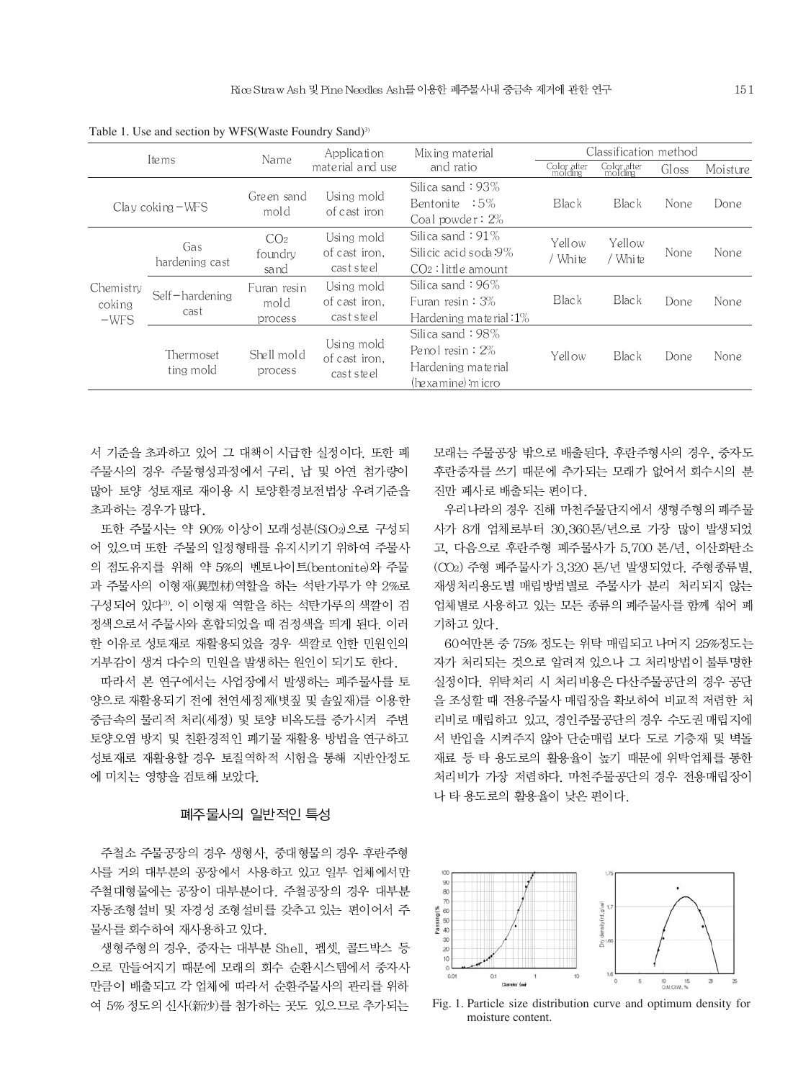|                        | Name                               |                                           |                                                                                      |                        | Classification method  |       |          |
|------------------------|------------------------------------|-------------------------------------------|--------------------------------------------------------------------------------------|------------------------|------------------------|-------|----------|
| Items                  |                                    | Application<br>material and use           | Mixing material<br>and ratio                                                         | Color after<br>molding | Color after<br>molding | Gloss | Moisture |
| $Clav$ coking $-WFS$   | Green sand<br>mold                 | Using mold<br>of cast iron                | Silica sand $:93\%$<br>Bentonite $:5\%$<br>Coal powder: 2%                           | <b>Black</b>           | <b>Black</b>           | None  | Done     |
| Gas<br>hardening cast  | CO <sub>2</sub><br>foundry<br>sand | Using mold<br>of cast iron,<br>cast steel | Silica sand : $91\%$<br>Silicic acid soda:9%<br>$CO2$ : little amount                | Yellow<br>/ White      | Yellow<br>/ White      | None  | None     |
| Self-hardening<br>cast | Furan resin<br>mold<br>process     | Using mold<br>of cast iron.<br>cast steel | Silica sand $:96\%$<br>Furan resin $: 3\%$<br>Hardening material: $1\%$              | <b>Black</b>           | <b>Black</b>           | Done  | None     |
| Thermoset<br>ting mold | Shell mold<br>process              | Using mold<br>of cast iron,<br>cast steel | Silica sand $:98\%$<br>Penol resin $: 2\%$<br>Hardening material<br>(hexamine) micro | Yellow                 | <b>Black</b>           | Done  | None     |
|                        |                                    |                                           |                                                                                      |                        |                        |       |          |

Table 1. Use and section by WFS(Waste Foundry Sand)<sup>3)</sup>

서 기준을 초과하고 있어 그 대책이 시급한 실정이다. 또한 폐 주물사의 경우 주물형성과정에서 구리, 납 및 아연 첨가량이 많아 토양 성토재로 재이용 시 토양환경보전법상 우려기준을 초과하는 경우가 많다.

또한 주물사는 약 90% 이상이 모래성분(SiO2)으로 구성되 어 있으며 또한 주물의 일정형태를 유지시키기 위하여 주물사 의 점도유지를 위해 약 5%의 벤토나이트(bentonite)와 주물 과 주물사의 이형재(異型材)역할을 하는 석탄가루가 약 2%로 구성되어 있다<sup>3</sup>. 이 이형재 역할을 하는 석탄가루의 색깔이 검 정색으로서 주물사와 혼합되었을 때 검정색을 띄게 된다. 이러 한 이유로 성토재로 재활용되었을 경우 색깔로 인한 민원인의 거부감이 생겨 다수의 민원을 발생하는 원인이 되기도 한다.

따라서 본 연구에서는 사업장에서 발생하는 폐주물사를 토 양으로 재활용되기 전에 천연세정제(볏짚 및 솔잎재)를 이용한 중금속의 물리적 처리(세정) 및 토양 비옥도를 증가시켜 주변 토양오염 방지 및 친환경적인 폐기물 재활용 방법을 연구하고 성토재로 재활용할 경우 토질역학적 시험을 통해 지반안정도 에 미치는 영향을 검토해 보았다.

# 폐주물사의 일반적인 특성

주철소 주물공장의 경우 생형사, 중대형물의 경우 후란주형 사를 거의 대부분의 공장에서 사용하고 있고 일부 업체에서만 주철대형물에는 공장이 대부분이다. 주철공장의 경우 대부분 자동조형설비 및 자경성 조형설비를 갖추고 있는 편이어서 주 물사를 회수하여 재사용하고 있다.

생형주형의 경우, 중자는 대부분 Shell, 펩셋, 콜드박스 등 으로 만들어지기 때문에 모래의 회수 순환시스템에서 중자사 만큼이 배출되고 각 업체에 따라서 순환주물사의 관리를 위하 여 5% 정도의 신사(新沙)를 첨가하는 곳도 있으므로 추가되는 모래는 주물공장 밖으로 배출된다. 후란주형사의 경우, 중자도 후란중자를 쓰기 때문에 추가되는 모래가 없어서 회수시의 분 진만 폐사로 배출되는 편이다.

우리나라의 경우 진해 마천주물단지에서 생형주형의 폐주물 사가 8개 업체로부터 30.360톤/년으로 가장 많이 발생되었 고, 다음으로 후란주형 폐주물사가 5,700 톤/년, 이산화탄소 (CO2) 주형 폐주물사가 3.320 톤/년 발생되었다. 주형종류별. 재생처리용도별 매립방법별로 주물사가 분리 처리되지 않는 업체별로 사용하고 있는 모든 종류의 폐주물사를 함께 섞어 폐 기하고 있다.

60여만톤 중 75% 정도는 위탁 매립되고 나머지 25%정도는 자가 처리되는 것으로 알려져 있으나 그 처리방법이 불투명한 실정이다. 위탁처리 시 처리비용은 다산주물공단의 경우 공단 을 조성할 때 전용주물사 매립장을 확보하여 비교적 저렴한 처 리비로 매립하고 있고, 경인주물공단의 경우 수도권 매립지에 서 반입을 시켜주지 않아 단순매립 보다 도로 기층재 및 벽돌 재료 등 타 용도로의 활용율이 높기 때문에 위탁업체를 통한 처리비가 가장 저렴하다. 마천주물공단의 경우 전용매립장이 나 타 용도로의 활용율이 낮은 편이다.



Fig. 1. Particle size distribution curve and optimum density for moisture content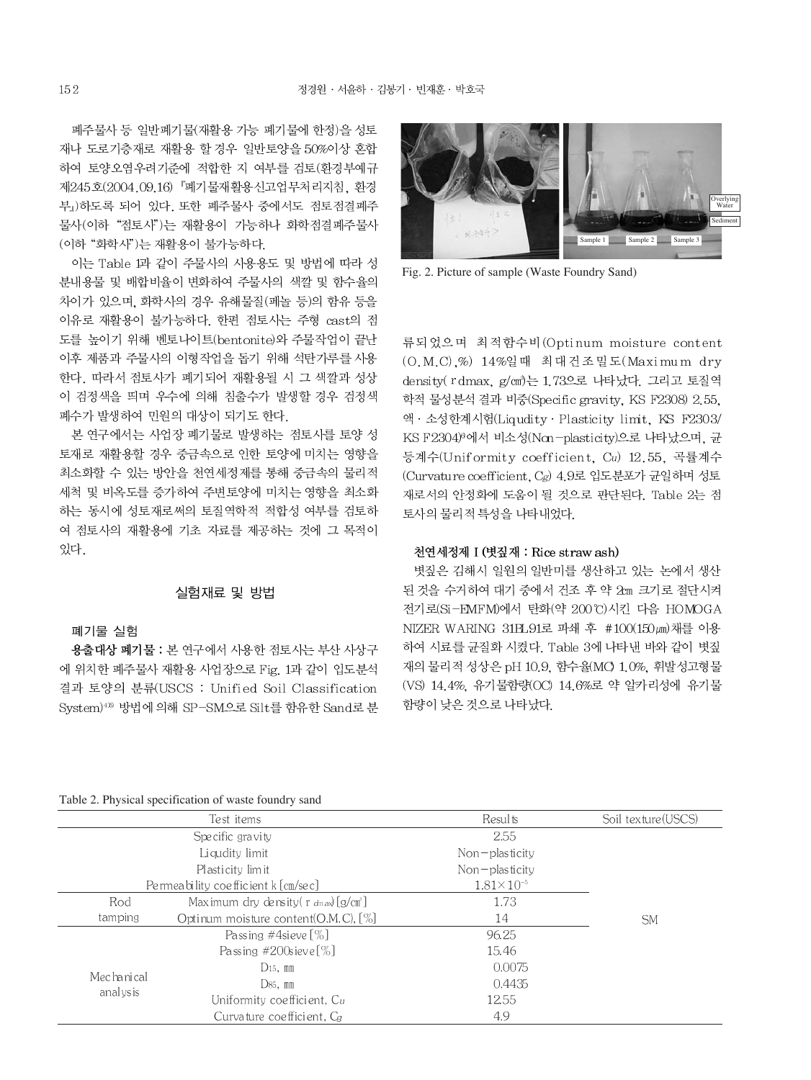폐주물사 등 일반폐기물(재활용 가능 폐기물에 한정)을 성토 재나 도로기층재로 재활용 할 경우 일반토양을 50%이상 혼합 하여 토양오염우려기준에 적합한 지 여부를 검토(환경부예규 제245호(2004.09.16) 『폐기물재활용신고업무처리지침, 환경 부』하도록 되어 있다. 또한 폐주물사 중에서도 점토점결폐주 물사(이하 "점토사")는 재활용이 가능하나 화학점결폐주물사 (이하 "화학사")는 재활용이 불가능하다.

이는 Table 1과 같이 주물사의 사용용도 및 방법에 따라 성 분내용물 및 배합비율이 변화하여 주물사의 색깔 및 함수율의 차이가 있으며, 화학사의 경우 유해물질(페놀 등)의 함유 등을 이유로 재활용이 불가능하다. 한편 점토사는 주형 cast의 점 도를 높이기 위해 벤토나이트(bentonite)와 주물작업이 끝난 이후 제품과 주물사의 이형작업을 돕기 위해 석탄가루를 사용 한다. 따라서 점토사가 폐기되어 재활용될 시 그 색깔과 성상 이 검정색을 띄며 우수에 의해 침출수가 발생할 경우 검정색 폐수가 발생하여 민원의 대상이 되기도 한다.

본 연구에서는 사업장 폐기물로 발생하는 점토사를 토양 성 토재로 재활용할 경우 중금속으로 인한 토양에 미치는 영향을 최소화할 수 있는 방안을 천연세정제를 통해 중금속의 물리적 세척 및 비옥도를 증가하여 주변토양에 미치는 영향을 최소화 하는 동시에 성토재로써의 토질역학적 적합성 여부를 검토하 여 점토사의 재활용에 기초 자료를 제공하는 것에 그 목적이 있다.

## 실험재료 및 방법

#### 폐기물 실험

용출대상 폐기물 : 본 연구에서 사용한 점토사는 부산 사상구 에 위치한 폐주물사 재활용 사업장으로 Fig. 1과 같이 입도분석 결과 토양의 분류(USCS : Unified Soil Classification System)<sup>4) 방법에 의해 SP-SM으로 Silt를 함유한 Sand로 분</sup>



Fig. 2. Picture of sample (Waste Foundry Sand)

류되었으며 최적함수비(Optinum moisture content (O.M.C),%) 14%일때 최대건조밀도(Maximum dry density( r dmax, g/cm)는 1.73으로 나타났다. 그리고 토질역 학적 물성분석 결과 비중(Specific gravity, KS F2308) 2.55. 액 · 소성한계시험(Liqudity · Plasticity limit, KS F2303/ KS F2304)®에서 비소성(Non-plasticity)으로 나타났으며, 균 등계수(Uniformity coefficient, Cu) 12.55, 곡률계수 (Curvature coefficient, Cg) 4.9로 입도분포가 균일하며 성토 재로서의 안정화에 도움이 될 것으로 판단된다. Table 2는 점 토사의 물리적 특성을 나타내었다.

#### 천연세정제 I (볏짚재 : Rice straw ash)

볏짚은 김해시 일원의 일반미를 생산하고 있는 논에서 생산 된 것을 수거하여 대기 중에서 건조 후 약 2cm 크기로 절단시켜 전기로(Si-EMFM)에서 탄화(약 200℃)시킨 다음 HOMOGA NIZER WARING 31BL91로 파쇄 후 #100(150 μm)채를 이용 하여 시료를 균질화 시켰다. Table 3에 나타낸 바와 같이 볏짚 재의 물리적 성상은 pH 10.9, 함수율(MC) 1.0%, 휘발성고형물 (VS) 14.4%, 유기물함량(OC) 14.6%로 약 알카리성에 유기물 함량이 낮은 것으로 나타났다.

Table 2. Physical specification of waste foundry sand

|            | Test items                                                  | <b>Results</b>        | Soil tex ture (USCS) |
|------------|-------------------------------------------------------------|-----------------------|----------------------|
|            | Specific gravity                                            | 2.55                  |                      |
|            | Liqudity limit                                              | $Non-plasticity$      |                      |
|            | Plasticity limit                                            | $Non-plasticity$      |                      |
|            | Permeability coefficient k [cm/sec]                         | $1.81 \times 10^{-5}$ |                      |
| Rod        | Maximum dry density $\left( r \frac{dm}{d} \right)$ [g/cm'] | 1.73                  |                      |
| tamping    | Optinum moisture content( $O.M.C$ ), $[\%]$                 | 14                    | <b>SM</b>            |
|            | Passing $#4$ sieve $[\%]$                                   | 96.25                 |                      |
|            | Passing $\#200s$ ieve $[\%]$                                | 15.46                 |                      |
|            | $D_{15}$ , mm                                               | 0.0075                |                      |
| Mechanical | $Ds5$ , mm                                                  | 0.4435                |                      |
| analysis   | Uniformity coefficient, Cu                                  | 12.55                 |                      |
|            | Curvature coefficient, Cq                                   | 4.9                   |                      |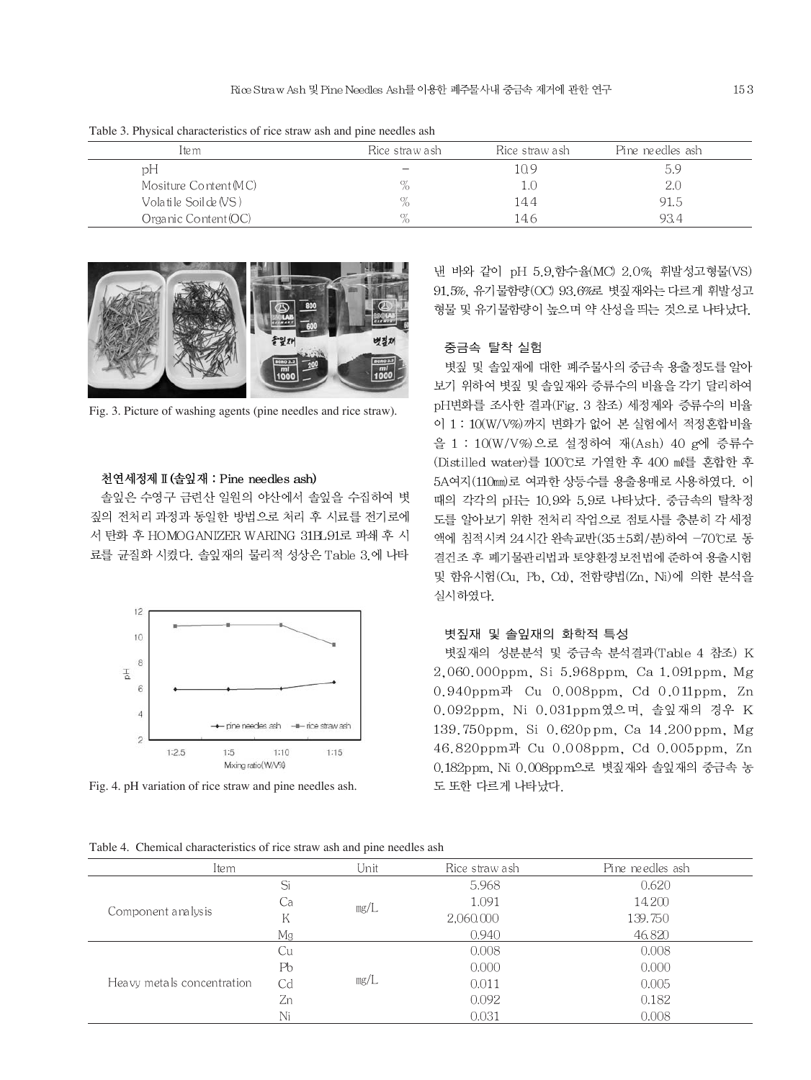Table 3. Physical characteristics of rice straw ash and pine needles ash

| lte m                 | Rice straw ash | Rice straw ash | Pine needles ash |
|-----------------------|----------------|----------------|------------------|
| рH                    |                | 10.9           | 5.Y              |
| Mositure Content (MC) | %.             |                |                  |
| Volatile Soilde (VS)  | %              | 14.4           | 91.5             |
| Organic Content (OC)  | %              | 14.6           | 93.4             |



Fig. 3. Picture of washing agents (pine needles and rice straw).

#### 천연세정제 Ⅱ (솔잎재 : Pine needles ash)

솔잎은 수영구 금련산 일원의 야산에서 솔잎을 수집하여 볏 짚의 전처리 과정과 동일한 방법으로 처리 후 시료를 전기로에 서 탄화 후 HOMOGANIZER WARING 31BL91로 파쇄 후 시 료를 균질화 시켰다. 솔잎재의 물리적 성상은 Table 3.에 나타



Fig. 4. pH variation of rice straw and pine needles ash.

낸 바와 같이 pH 5.9,함수율(MC) 2.0%, 휘발성고형물(VS) 91.5%, 유기물함량(OC) 93.6%로 볏짚재와는 다르게 휘발성고 형물 및 유기물함량이 높으며 약 산성을 띄는 것으로 나타났다.

#### 중금속 탈착 실험

볏짚 및 솔잎재에 대한 폐주물사의 중금속 용출정도를 알아 보기 위하여 볏짚 및 솔잎재와 증류수의 비율을 각기 달리하여 pH변화를 조사한 결과(Fig. 3 참조) 세정제와 증류수의 비율 이 1: 10(W/V%)까지 변화가 없어 본 실험에서 적정혼합비율 을 1:10(W/V%)으로 설정하여 재(Ash) 40 g에 증류수 (Distilled water)를 100℃로 가열한 후 400 ml를 혼합한 후 5A여지(110mm)로 여과한 상등수를 용출용매로 사용하였다. 이 때의 각각의 pH는 10.9와 5.9로 나타났다. 중금속의 탈착정 도를 알아보기 위한 전처리 작업으로 점토사를 충분히 각 세정 액에 침적시켜 24시간 완속교반(35±5회/분)하여 -70℃로 동 결건조 후 폐기물관리법과 토양환경보전법에 준하여 용출시험 및 함유시험(Cu, Pb, Cd), 전함량법(Zn, Ni)에 의한 분석을 실시하였다.

#### 볏짚재 및 솔잎재의 화학적 특성

볏짚재의 성분분석 및 중금속 분석결과(Table 4 참조) K 2,060.000ppm, Si 5.968ppm, Ca 1.091ppm, Mg 0.940ppm과 Cu 0.008ppm, Cd 0.011ppm, Zn 0.092ppm, Ni 0.031ppm였으며, 솔잎재의 경우 K 139.750ppm, Si 0.620ppm, Ca 14.200ppm, Mg 46.820ppm과 Cu 0.008ppm, Cd 0.005ppm, Zn 0.182ppm, Ni 0.008ppm으로 볏짚재와 솔잎재의 중금속 농 도 또한 다르게 나타났다.

| Item                       |    | Unit | Rice straw ash | Pine needles ash |
|----------------------------|----|------|----------------|------------------|
|                            | Si | mg/L | 5.968          | 0.620            |
|                            | Ca |      | 1.091          | 14.200           |
| Component analysis         | K  |      | 2.060,000      | 139.750          |
|                            | Mg |      | 0.940          | 46.820           |
|                            | Cu |      | 0.008          | 0.008            |
|                            | Pb |      | 0.000          | 0.000            |
| Heavy metals concentration | Cd | mg/L | 0.011          | 0.005            |
|                            | Zn |      | 0.092          | 0.182            |
|                            | Ni |      | 0.031          | 0.008            |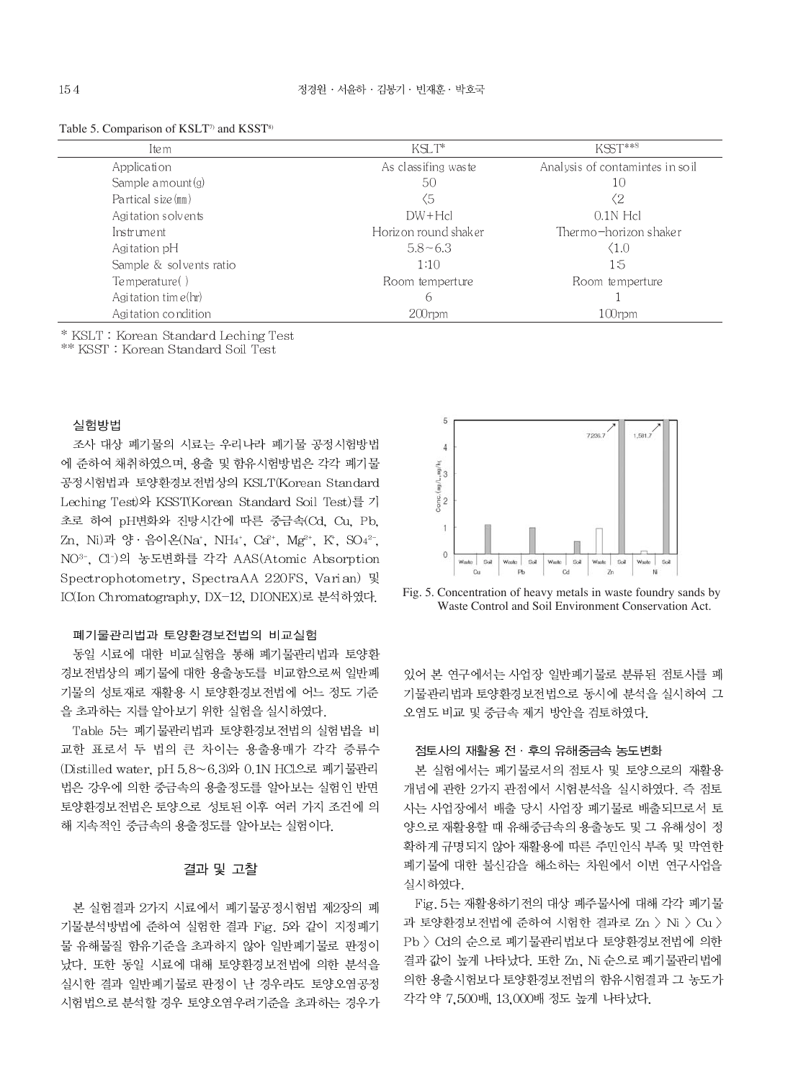| Table 5. Comparison of KSLT <sup>7)</sup> and KSST <sup>8)</sup> |  |
|------------------------------------------------------------------|--|
|                                                                  |  |

| Ite m                   | $KSLT^*$             | KSST**8                         |
|-------------------------|----------------------|---------------------------------|
| Application             | As classifing waste  | Analysis of contamintes in soil |
| Sample $a$ mount $(g)$  | 50                   | 10                              |
| Partical size (mm)      | 〈5                   | 〈2                              |
| Agitation solvents      | $DW + Hcl$           | $0.1N$ Hcl                      |
| Instrument              | Horizon round shaker | Thermo-horizon shaker           |
| Agitation $pH$          | $5.8 - 6.3$          | K1.0                            |
| Sample & solvents ratio | 1:10                 | .5                              |
| Temperature()           | Room temperture      | Room temperture                 |
| Agitation time( $\ln$ ) | 6                    |                                 |
| Agitation condition     | $200$ rpm            | $100$ rpm                       |

\* KSLT: Korean Standard Leching Test

\*\* KSST: Korean Standard Soil Test

#### 실험방법

조사 대상 폐기물의 시료는 우리나라 폐기물 공정시험방법 에 준하여 채취하였으며, 용출 및 함유시험방법은 각각 폐기물 공정시험법과 토양환경보전법상의 KSLT(Korean Standard Leching Test)와 KSST(Korean Standard Soil Test)를 기 초로 하여 pH변화와 진당시간에 따른 중금속(Cd. Cu. Pb. Zn, Ni)과 양·음이온(Na+, NH4+, Ca<sup>+</sup>, Mg<sup>2+</sup>, K<sup>-</sup>, SO4<sup>2-</sup>, NO<sup>3-</sup>, Cl<sup>-</sup>)의 농도변화를 각각 AAS(Atomic Absorption Spectrophotometry, SpectraAA 220FS, Varian) 및 IC(Ion Chromatography, DX-12, DIONEX)로 분석하였다.

#### 폐기물관리법과 토양환경보전법의 비교실험

동일 시료에 대한 비교실험을 통해 폐기물관리법과 토양환 경보전법상의 폐기물에 대한 용출농도를 비교함으로써 일반폐 기물의 성토재로 재활용 시 토양환경보전법에 어느 정도 기준 을 초과하는 지를 알아보기 위한 실험을 실시하였다.

Table 5는 폐기물관리법과 토양환경보전법의 실험법을 비 교한 표로서 두 법의 큰 차이는 용출용매가 각각 증류수 (Distilled water, pH 5.8~6.3)와 0.1N HCl으로 폐기물관리 법은 강우에 의한 중금속의 용출정도를 알아보는 실험인 반면 토양환경보전법은 토양으로 성토된 이후 여러 가지 조건에 의 해 지속적인 중금속의 용출정도를 알아보는 실험이다.

### 결과 및 고찰

본 실험결과 2가지 시료에서 폐기물공정시험법 제2장의 폐 기물분석방법에 준하여 실험한 결과 Fig. 5와 같이 지정폐기 물 유해물질 함유기준을 초과하지 않아 일반폐기물로 판정이 났다. 또한 동일 시료에 대해 토양환경보전법에 의한 분석을 실시한 결과 일반폐기물로 판정이 난 경우라도 토양오염공정 시험법으로 분석할 경우 토양오염우려기준을 초과하는 경우가



Fig. 5. Concentration of heavy metals in waste foundry sands by Waste Control and Soil Environment Conservation Act.

있어 본 연구에서는 사업장 일반폐기물로 분류된 점토사를 폐 기물관리법과 토양환경보전법으로 동시에 분석을 실시하여 그 오염도 비교 및 중금속 제거 방안을 검토하였다.

#### 점토사의 재활용 전 · 후의 유해중금속 농도변화

본 실험에서는 폐기물로서의 점토사 및 토양으로의 재활용 개념에 관한 2가지 관점에서 시험분석을 실시하였다. 즉 점토 사는 사업장에서 배출 당시 사업장 폐기물로 배출되므로서 토 양으로 재활용할 때 유해중금속의 용출농도 및 그 유해성이 정 확하게 규명되지 않아 재활용에 따른 주민인식 부족 및 막연한 폐기물에 대한 불신감을 해소하는 차원에서 이번 연구사업을 실시하였다.

Fig. 5는 재활용하기전의 대상 폐주물사에 대해 각각 폐기물 과 토양환경보전법에 준하여 시험한 결과로 Zn > Ni > Cu > Pb > Cd의 순으로 폐기물관리법보다 토양환경보전법에 의한 결과 값이 높게 나타났다. 또한 Zn. Ni 순으로 폐기물관리법에 의한 용출시험보다 토양환경보전법의 함유시험결과 그 농도가 각각 약 7,500배, 13,000배 정도 높게 나타났다.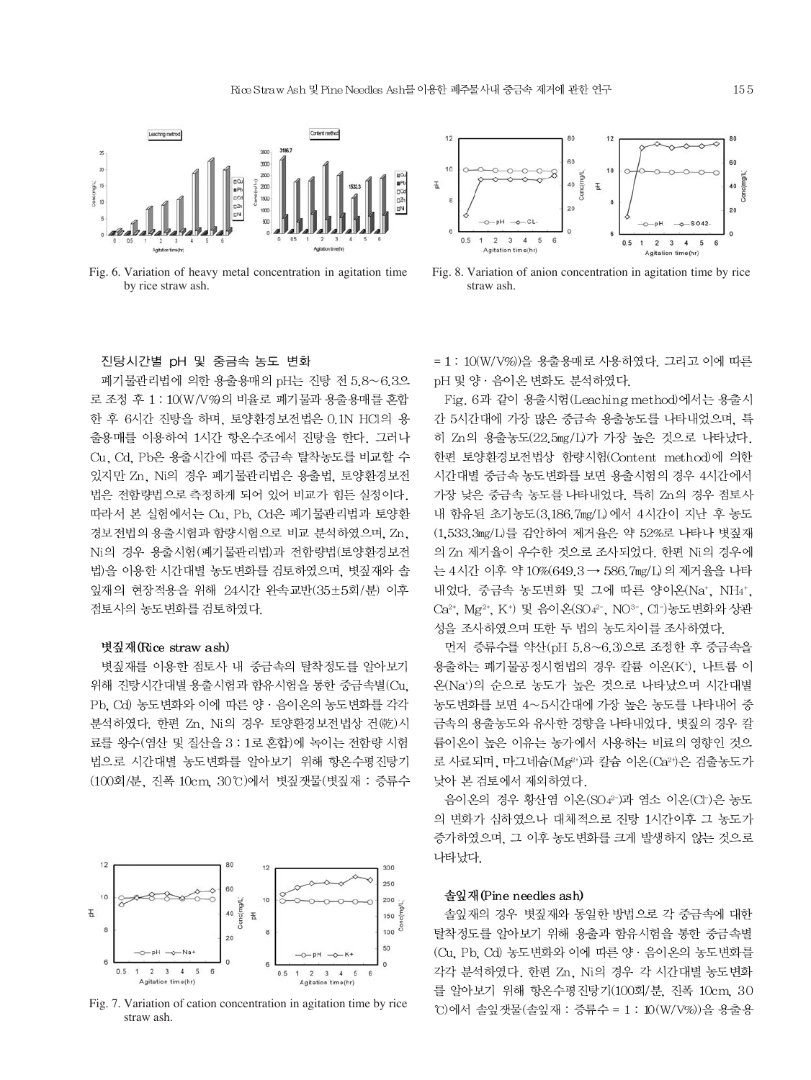

Fig. 6. Variation of heavy metal concentration in agitation time by rice straw ash.



Fig. 8. Variation of anion concentration in agitation time by rice straw ash.

#### 진탕시간별 pH 및 중금속 농도 변화

폐기물관리법에 의한 용출용매의 pH는 진탕 전 5.8~6.3으 로 조정 후 1 : 10(W/V%의 비율로 폐기물과 용출용매를 혼합 한 후 6시간 진탕을 하며, 토양환경보전법은 0.1N HCl의 용 출용매를 이용하여 1시간 항온수조에서 진탕을 한다. 그러나 Cu. Cd. Pb은 용출시간에 따른 중금속 탈착농도를 비교할 수 있지만 Zn. Ni의 경우 폐기물관리법은 용출법. 토양환경보전 법은 전함량법으로 측정하게 되어 있어 비교가 힘든 실정이다. 따라서 본 실험에서는 Cu, Pb, Cd은 폐기물관리법과 토양환 경보전법의 용출시험과 함량시험으로 비교 분석하였으며, Zn, Ni의 경우 용출시험(폐기물관리법)과 전함량법(토양환경보전 법)을 이용한 시간대별 농도변화를 검토하였으며, 볏짚재와 솔 잎재의 현장적용을 위해 24시간 완속교반(35±5회/분) 이후 점토사의 농도변화를 검토하였다.

#### 볏짚재(Rice straw ash)

볏짚재를 이용한 점토사 내 중금속의 탈착정도를 알아보기 위해 진탕시간대별 용출시험과 함유시험을 통한 중금속별(Cu, Pb, Cd) 농도변화와 이에 따른 양 · 음이온의 농도변화를 각각 분석하였다. 한편 Zn, Ni의 경우 토양환경보전법상 건(乾)시 료를 왕수(염산 및 질산을 3 : 1로 혼합)에 녹이는 전함량 시험 법으로 시간대별 농도변화를 알아보기 위해 항온수평진탕기 (100회/분, 진폭 10cm, 30℃)에서 볏짚잿물(볏짚재 : 증류수



Fig. 7. Variation of cation concentration in agitation time by rice straw ash.

= 1: 10(W/V%))을 용출용매로 사용하였다. 그리고 이에 따른 pH 및 양 · 음이온 변화도 분석하였다.

Fig. 6과 같이 용출시험(Leaching method)에서는 용출시 간 5시간대에 가장 많은 중금속 용출농도를 나타내었으며, 특 히 Zn의 용출농도(22.5mg/L)가 가장 높은 것으로 나타났다. 한편 토양환경보전법상 함량시험(Content method)에 의한 시간대별 중금속 농도변화를 보면 용출시험의 경우 4시간에서 가장 낮은 중금속 농도를 나타내었다. 특히 Zn의 경우 점토사 내 함유된 초기농도(3,186.7mg/L)에서 4시간이 지난 후 농도 (1,533.3mg/L)를 감안하여 제거율은 약 52%로 나타나 볏짚재 의 Zn 제거율이 우수한 것으로 조사되었다. 한편 Ni의 경우에 는 4시간 이후 약 10%(649.3 → 586.7mg/L)의 제거율을 나타 내었다. 중금속 농도변화 및 그에 따른 양이온(Na+, NH4+, Ca<sup>2+</sup>, Mg<sup>2+</sup>, K<sup>+</sup>) 및 음이온(SO4<sup>2-</sup>, NO<sup>3-</sup>, Cl<sup>-</sup>)농도변화와 상관 성을 조사하였으며 또한 두 법의 농도차이를 조사하였다.

먼저 증류수를 약산(pH 5.8~6.3)으로 조정한 후 중금속을 용출하는 폐기물공정시험법의 경우 칼륨 이온(K<sup>+</sup>). 나트륨 이 온(Na<sup>+</sup>)의 순으로 농도가 높은 것으로 나타났으며 시간대별 농도변화를 보면 4~5시간대에 가장 높은 농도를 나타내어 중 금속의 용출농도와 유사한 경향을 나타내었다. 볏짚의 경우 칼 륨이온이 높은 이유는 농가에서 사용하는 비료의 영향인 것으 로 사료되며, 마그네슘(Mg2+)과 칼슘 이온(Ca2+)은 검출농도가 낮아 본 검토에서 제외하였다.

음이온의 경우 황산염 이온(SO42)과 염소 이온(CI)은 농도 의 변화가 심하였으나 대체적으로 진탕 1시간이후 그 농도가 증가하였으며, 그 이후 농도변화를 크게 발생하지 않는 것으로 나타났다.

#### 솔잎재(Pine needles ash)

솔잎재의 경우 볏짚재와 동일한 방법으로 각 중금속에 대한 탈착정도를 알아보기 위해 용출과 함유시험을 통한 중금속별 (Cu, Pb, Cd) 농도변화와 이에 따른 양 · 음이온의 농도변화를 각각 분석하였다. 한편 Zn, Ni의 경우 각 시간대별 농도변화 를 알아보기 위해 항온수평진탕기(100회/분, 진폭 10cm, 30 ℃)에서 솔잎잿물(솔잎재 : 증류수 = 1 : 10 (W/V%))을 용출용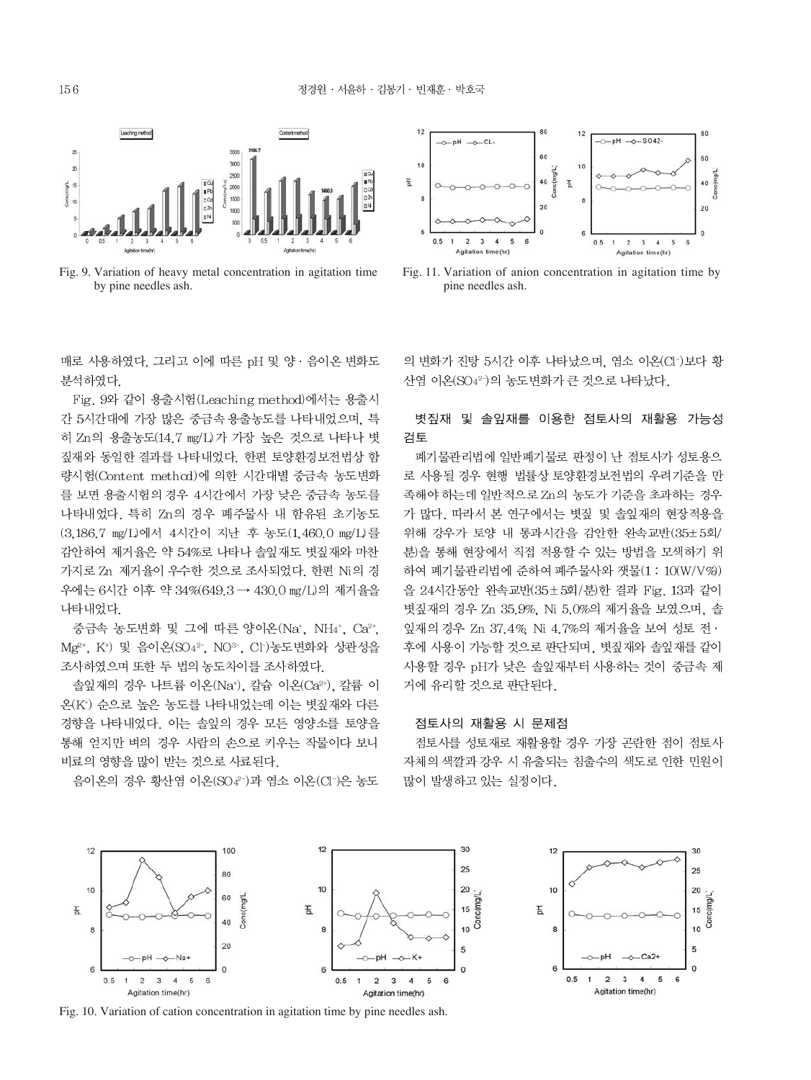

Fig. 9. Variation of heavy metal concentration in agitation time by pine needles ash.



Fig. 9와 같이 용출시험(Leaching method)에서는 용출시 간 5시간대에 가장 많은 중금속 용출농도를 나타내었으며, 특 히 Zn의 용출농도(14.7 mg/L)가 가장 높은 것으로 나타나 볏 짚재와 동일한 결과를 나타내었다. 한편 토양환경보전법상 함 량시험(Content method)에 의한 시간대별 중금속 농도변화 를 보면 용출시험의 경우 4시간에서 가장 낮은 중금속 농도를 나타내었다. 특히 Zn의 경우 폐주물사 내 함유된 초기농도 (3,186.7 mg/L)에서 4시간이 지난 후 농도(1,460.0 mg/L)를 감안하여 제거율은 약 54%로 나타나 솔잎재도 볏짚재와 마찬 가지로 Zn 제거율이 우수한 것으로 조사되었다. 한편 Ni의 경 우에는 6시간 이후 약 34%(649.3 → 430.0 mg/L)의 제거율을 나타내었다.

중금속 농도변화 및 그에 따른 양이온(Na+, NH4+, Ca2+, Mg<sup>2+</sup>, K<sup>+</sup>) 및 음이온(SO<sub>4</sub><sup>2-</sup>, NO<sup>3-</sup>, Cl<sup>-</sup>)농도변화와 상관성을 조사하였으며 또한 두 법의 농도차이를 조사하였다.

솔잎재의 경우 나트륨 이온(Na<sup>+</sup>), 칼슘 이온(Ca<sup>2+</sup>), 칼륨 이 온(K<sup>+</sup>) 순으로 높은 농도를 나타내었는데 이는 볏짚재와 다른 경향을 나타내었다. 이는 솔잎의 경우 모든 영양소를 토양을 통해 얻지만 벼의 경우 사람의 손으로 키우는 작물이다 보니 비료의 영향을 많이 받는 것으로 사료된다.

음이온의 경우 황산염 이온(SO42-)과 염소 이온(Cl-)은 농도



Fig. 11. Variation of anion concentration in agitation time by pine needles ash.

의 변화가 진탕 5시간 이후 나타났으며, 염소 이온(Cl-)보다 황 산염 이온(SO4<sup>2-</sup>)의 농도변화가 큰 것으로 나타났다.

# 볏짚재 및 솔잎재를 이용한 점토사의 재활용 가능성 검토

폐기물관리법에 일반폐기물로 판정이 난 점토사가 성토용으 로 사용될 경우 현행 법률상 토양환경보전법의 우려기준을 만 족해야 하는데 일반적으로 Zn의 농도가 기준을 초과하는 경우 가 많다. 따라서 본 연구에서는 볏짚 및 솔잎재의 현장적용을 위해 강우가 토양 내 통과시간을 감안한 완속교반(35±5회/ 분)을 통해 현장에서 직접 적용할 수 있는 방법을 모색하기 위 하여 폐기물관리법에 준하여 폐주물사와 잿물(1:10(W/V%) 을 24시간동안 완속교반(35±5회/분)한 결과 Fig. 13과 같이 볏짚재의 경우 Zn 35.9%, Ni 5.0%의 제거율을 보였으며, 솔 잎재의 경우 Zn 37.4%, Ni 4.7%의 제거율을 보여 성토 전 · 후에 사용이 가능할 것으로 판단되며, 볏짚재와 솔잎재를 같이 사용할 경우 pH가 낮은 솔잎재부터 사용하는 것이 중금속 제 거에 유리할 것으로 판단된다.

#### 점토사의 재활용 시 문제점

점토사를 성토재로 재활용할 경우 가장 곤란한 점이 점토사 자체의 색깔과 강우 시 유출되는 침출수의 색도로 인한 민원이 많이 발생하고 있는 실정이다.

 $12$ 



Fig. 10. Variation of cation concentration in agitation time by pine needles ash.



30